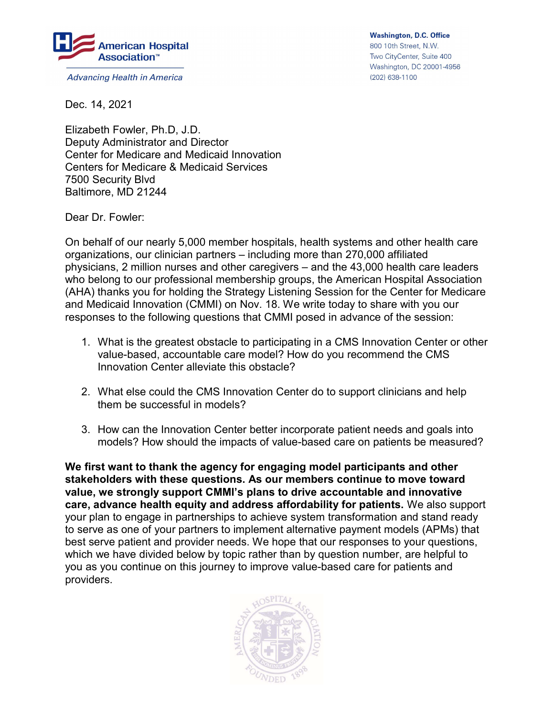

**Advancing Health in America** 

**Washington, D.C. Office** 800 10th Street, N.W. Two CityCenter, Suite 400 Washington, DC 20001-4956 (202) 638-1100

Dec. 14, 2021

Elizabeth Fowler, Ph.D, J.D. Deputy Administrator and Director Center for Medicare and Medicaid Innovation Centers for Medicare & Medicaid Services 7500 Security Blvd Baltimore, MD 21244

Dear Dr. Fowler:

On behalf of our nearly 5,000 member hospitals, health systems and other health care organizations, our clinician partners – including more than 270,000 affiliated physicians, 2 million nurses and other caregivers – and the 43,000 health care leaders who belong to our professional membership groups, the American Hospital Association (AHA) thanks you for holding the Strategy Listening Session for the Center for Medicare and Medicaid Innovation (CMMI) on Nov. 18. We write today to share with you our responses to the following questions that CMMI posed in advance of the session:

- 1. What is the greatest obstacle to participating in a CMS Innovation Center or other value-based, accountable care model? How do you recommend the CMS Innovation Center alleviate this obstacle?
- 2. What else could the CMS Innovation Center do to support clinicians and help them be successful in models?
- 3. How can the Innovation Center better incorporate patient needs and goals into models? How should the impacts of value-based care on patients be measured?

We first want to thank the agency for engaging model participants and other stakeholders with these questions. As our members continue to move toward value, we strongly support CMMI's plans to drive accountable and innovative care, advance health equity and address affordability for patients. We also support your plan to engage in partnerships to achieve system transformation and stand ready to serve as one of your partners to implement alternative payment models (APMs) that best serve patient and provider needs. We hope that our responses to your questions, which we have divided below by topic rather than by question number, are helpful to you as you continue on this journey to improve value-based care for patients and providers.

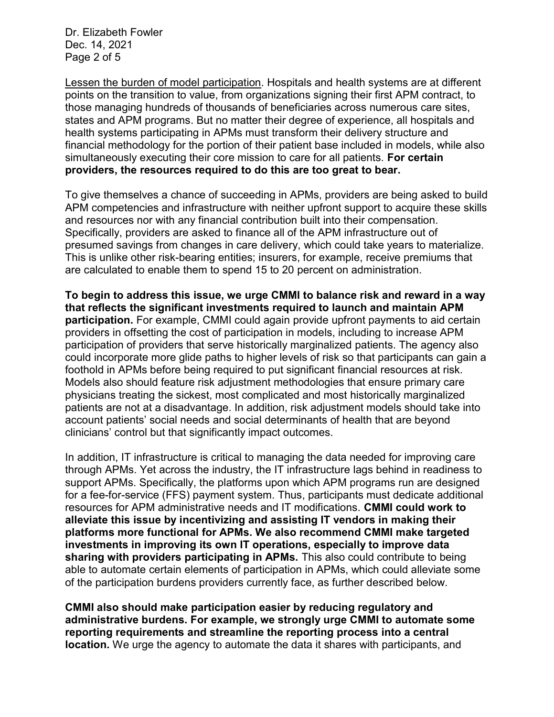Dr. Elizabeth Fowler Dec. 14, 2021 Page 2 of 5

Lessen the burden of model participation. Hospitals and health systems are at different points on the transition to value, from organizations signing their first APM contract, to those managing hundreds of thousands of beneficiaries across numerous care sites, states and APM programs. But no matter their degree of experience, all hospitals and health systems participating in APMs must transform their delivery structure and financial methodology for the portion of their patient base included in models, while also simultaneously executing their core mission to care for all patients. For certain providers, the resources required to do this are too great to bear.

To give themselves a chance of succeeding in APMs, providers are being asked to build APM competencies and infrastructure with neither upfront support to acquire these skills and resources nor with any financial contribution built into their compensation. Specifically, providers are asked to finance all of the APM infrastructure out of presumed savings from changes in care delivery, which could take years to materialize. This is unlike other risk-bearing entities; insurers, for example, receive premiums that are calculated to enable them to spend 15 to 20 percent on administration.

To begin to address this issue, we urge CMMI to balance risk and reward in a way that reflects the significant investments required to launch and maintain APM participation. For example, CMMI could again provide upfront payments to aid certain providers in offsetting the cost of participation in models, including to increase APM participation of providers that serve historically marginalized patients. The agency also could incorporate more glide paths to higher levels of risk so that participants can gain a foothold in APMs before being required to put significant financial resources at risk. Models also should feature risk adjustment methodologies that ensure primary care physicians treating the sickest, most complicated and most historically marginalized patients are not at a disadvantage. In addition, risk adjustment models should take into account patients' social needs and social determinants of health that are beyond clinicians' control but that significantly impact outcomes.

In addition, IT infrastructure is critical to managing the data needed for improving care through APMs. Yet across the industry, the IT infrastructure lags behind in readiness to support APMs. Specifically, the platforms upon which APM programs run are designed for a fee-for-service (FFS) payment system. Thus, participants must dedicate additional resources for APM administrative needs and IT modifications. CMMI could work to alleviate this issue by incentivizing and assisting IT vendors in making their platforms more functional for APMs. We also recommend CMMI make targeted investments in improving its own IT operations, especially to improve data sharing with providers participating in APMs. This also could contribute to being able to automate certain elements of participation in APMs, which could alleviate some of the participation burdens providers currently face, as further described below.

CMMI also should make participation easier by reducing regulatory and administrative burdens. For example, we strongly urge CMMI to automate some reporting requirements and streamline the reporting process into a central location. We urge the agency to automate the data it shares with participants, and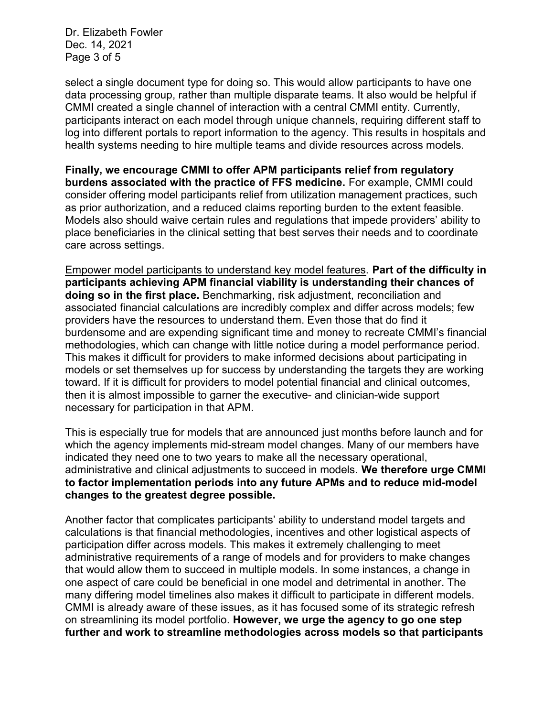Dr. Elizabeth Fowler Dec. 14, 2021 Page 3 of 5

select a single document type for doing so. This would allow participants to have one data processing group, rather than multiple disparate teams. It also would be helpful if CMMI created a single channel of interaction with a central CMMI entity. Currently, participants interact on each model through unique channels, requiring different staff to log into different portals to report information to the agency. This results in hospitals and health systems needing to hire multiple teams and divide resources across models.

Finally, we encourage CMMI to offer APM participants relief from regulatory burdens associated with the practice of FFS medicine. For example, CMMI could consider offering model participants relief from utilization management practices, such as prior authorization, and a reduced claims reporting burden to the extent feasible. Models also should waive certain rules and regulations that impede providers' ability to place beneficiaries in the clinical setting that best serves their needs and to coordinate care across settings.

Empower model participants to understand key model features. Part of the difficulty in participants achieving APM financial viability is understanding their chances of doing so in the first place. Benchmarking, risk adjustment, reconciliation and associated financial calculations are incredibly complex and differ across models; few providers have the resources to understand them. Even those that do find it burdensome and are expending significant time and money to recreate CMMI's financial methodologies, which can change with little notice during a model performance period. This makes it difficult for providers to make informed decisions about participating in models or set themselves up for success by understanding the targets they are working toward. If it is difficult for providers to model potential financial and clinical outcomes, then it is almost impossible to garner the executive- and clinician-wide support necessary for participation in that APM.

This is especially true for models that are announced just months before launch and for which the agency implements mid-stream model changes. Many of our members have indicated they need one to two years to make all the necessary operational, administrative and clinical adjustments to succeed in models. We therefore urge CMMI to factor implementation periods into any future APMs and to reduce mid-model changes to the greatest degree possible.

Another factor that complicates participants' ability to understand model targets and calculations is that financial methodologies, incentives and other logistical aspects of participation differ across models. This makes it extremely challenging to meet administrative requirements of a range of models and for providers to make changes that would allow them to succeed in multiple models. In some instances, a change in one aspect of care could be beneficial in one model and detrimental in another. The many differing model timelines also makes it difficult to participate in different models. CMMI is already aware of these issues, as it has focused some of its strategic refresh on streamlining its model portfolio. However, we urge the agency to go one step further and work to streamline methodologies across models so that participants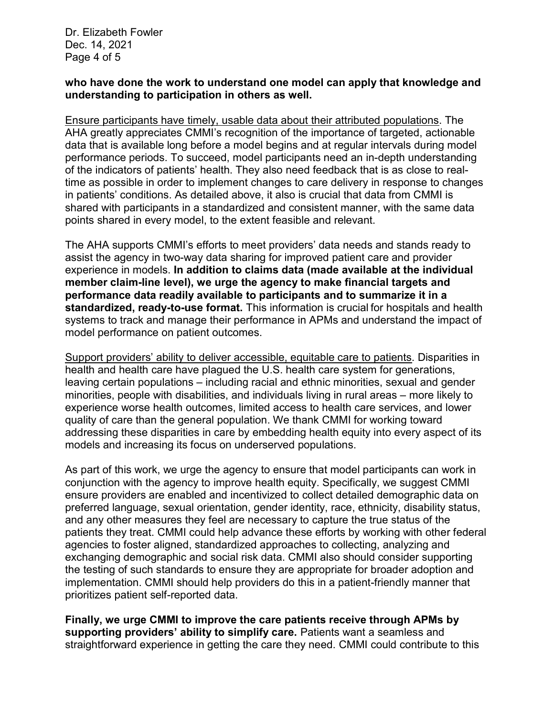Dr. Elizabeth Fowler Dec. 14, 2021 Page 4 of 5

## who have done the work to understand one model can apply that knowledge and understanding to participation in others as well.

Ensure participants have timely, usable data about their attributed populations. The AHA greatly appreciates CMMI's recognition of the importance of targeted, actionable data that is available long before a model begins and at regular intervals during model performance periods. To succeed, model participants need an in-depth understanding of the indicators of patients' health. They also need feedback that is as close to realtime as possible in order to implement changes to care delivery in response to changes in patients' conditions. As detailed above, it also is crucial that data from CMMI is shared with participants in a standardized and consistent manner, with the same data points shared in every model, to the extent feasible and relevant.

The AHA supports CMMI's efforts to meet providers' data needs and stands ready to assist the agency in two-way data sharing for improved patient care and provider experience in models. In addition to claims data (made available at the individual member claim-line level), we urge the agency to make financial targets and performance data readily available to participants and to summarize it in a **standardized, ready-to-use format.** This information is crucial for hospitals and health systems to track and manage their performance in APMs and understand the impact of model performance on patient outcomes.

Support providers' ability to deliver accessible, equitable care to patients. Disparities in health and health care have plagued the U.S. health care system for generations, leaving certain populations – including racial and ethnic minorities, sexual and gender minorities, people with disabilities, and individuals living in rural areas – more likely to experience worse health outcomes, limited access to health care services, and lower quality of care than the general population. We thank CMMI for working toward addressing these disparities in care by embedding health equity into every aspect of its models and increasing its focus on underserved populations.

As part of this work, we urge the agency to ensure that model participants can work in conjunction with the agency to improve health equity. Specifically, we suggest CMMI ensure providers are enabled and incentivized to collect detailed demographic data on preferred language, sexual orientation, gender identity, race, ethnicity, disability status, and any other measures they feel are necessary to capture the true status of the patients they treat. CMMI could help advance these efforts by working with other federal agencies to foster aligned, standardized approaches to collecting, analyzing and exchanging demographic and social risk data. CMMI also should consider supporting the testing of such standards to ensure they are appropriate for broader adoption and implementation. CMMI should help providers do this in a patient-friendly manner that prioritizes patient self-reported data.

Finally, we urge CMMI to improve the care patients receive through APMs by supporting providers' ability to simplify care. Patients want a seamless and straightforward experience in getting the care they need. CMMI could contribute to this